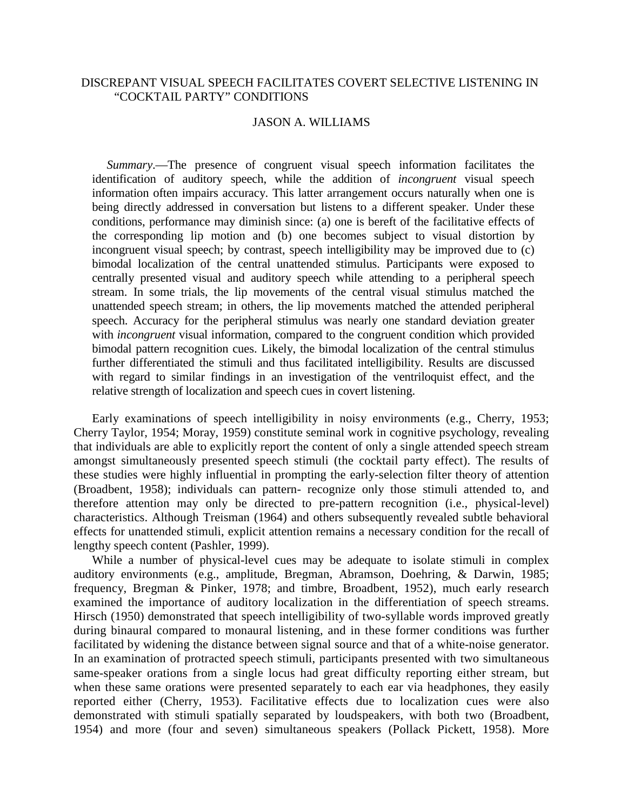# DISCREPANT VISUAL SPEECH FACILITATES COVERT SELECTIVE LISTENING IN "COCKTAIL PARTY" CONDITIONS

### JASON A. WILLIAMS

*Summary*.—The presence of congruent visual speech information facilitates the identification of auditory speech, while the addition of *incongruent* visual speech information often impairs accuracy. This latter arrangement occurs naturally when one is being directly addressed in conversation but listens to a different speaker. Under these conditions, performance may diminish since: (a) one is bereft of the facilitative effects of the corresponding lip motion and (b) one becomes subject to visual distortion by incongruent visual speech; by contrast, speech intelligibility may be improved due to (c) bimodal localization of the central unattended stimulus. Participants were exposed to centrally presented visual and auditory speech while attending to a peripheral speech stream. In some trials, the lip movements of the central visual stimulus matched the unattended speech stream; in others, the lip movements matched the attended peripheral speech. Accuracy for the peripheral stimulus was nearly one standard deviation greater with *incongruent* visual information, compared to the congruent condition which provided bimodal pattern recognition cues. Likely, the bimodal localization of the central stimulus further differentiated the stimuli and thus facilitated intelligibility. Results are discussed with regard to similar findings in an investigation of the ventriloquist effect, and the relative strength of localization and speech cues in covert listening.

Early examinations of speech intelligibility in noisy environments (e.g., Cherry, 1953; Cherry Taylor, 1954; Moray, 1959) constitute seminal work in cognitive psychology, revealing that individuals are able to explicitly report the content of only a single attended speech stream amongst simultaneously presented speech stimuli (the cocktail party effect). The results of these studies were highly influential in prompting the early-selection filter theory of attention (Broadbent, 1958); individuals can pattern- recognize only those stimuli attended to, and therefore attention may only be directed to pre-pattern recognition (i.e., physical-level) characteristics. Although Treisman (1964) and others subsequently revealed subtle behavioral effects for unattended stimuli, explicit attention remains a necessary condition for the recall of lengthy speech content (Pashler, 1999).

While a number of physical-level cues may be adequate to isolate stimuli in complex auditory environments (e.g., amplitude, Bregman, Abramson, Doehring, & Darwin, 1985; frequency, Bregman & Pinker, 1978; and timbre, Broadbent, 1952), much early research examined the importance of auditory localization in the differentiation of speech streams. Hirsch (1950) demonstrated that speech intelligibility of two-syllable words improved greatly during binaural compared to monaural listening, and in these former conditions was further facilitated by widening the distance between signal source and that of a white-noise generator. In an examination of protracted speech stimuli, participants presented with two simultaneous same-speaker orations from a single locus had great difficulty reporting either stream, but when these same orations were presented separately to each ear via headphones, they easily reported either (Cherry, 1953). Facilitative effects due to localization cues were also demonstrated with stimuli spatially separated by loudspeakers, with both two (Broadbent, 1954) and more (four and seven) simultaneous speakers (Pollack Pickett, 1958). More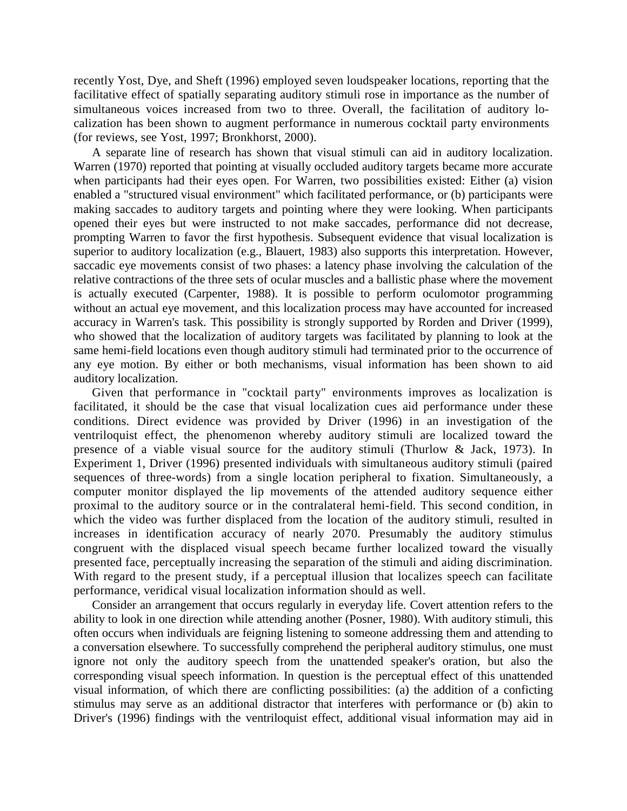recently Yost, Dye, and Sheft (1996) employed seven loudspeaker locations, reporting that the facilitative effect of spatially separating auditory stimuli rose in importance as the number of simultaneous voices increased from two to three. Overall, the facilitation of auditory localization has been shown to augment performance in numerous cocktail party environments (for reviews, see Yost, 1997; Bronkhorst, 2000).

A separate line of research has shown that visual stimuli can aid in auditory localization. Warren (1970) reported that pointing at visually occluded auditory targets became more accurate when participants had their eyes open. For Warren, two possibilities existed: Either (a) vision enabled a "structured visual environment" which facilitated performance, or (b) participants were making saccades to auditory targets and pointing where they were looking. When participants opened their eyes but were instructed to not make saccades, performance did not decrease, prompting Warren to favor the first hypothesis. Subsequent evidence that visual localization is superior to auditory localization (e.g., Blauert, 1983) also supports this interpretation. However, saccadic eye movements consist of two phases: a latency phase involving the calculation of the relative contractions of the three sets of ocular muscles and a ballistic phase where the movement is actually executed (Carpenter, 1988). It is possible to perform oculomotor programming without an actual eye movement, and this localization process may have accounted for increased accuracy in Warren's task. This possibility is strongly supported by Rorden and Driver (1999), who showed that the localization of auditory targets was facilitated by planning to look at the same hemi-field locations even though auditory stimuli had terminated prior to the occurrence of any eye motion. By either or both mechanisms, visual information has been shown to aid auditory localization.

Given that performance in "cocktail party" environments improves as localization is facilitated, it should be the case that visual localization cues aid performance under these conditions. Direct evidence was provided by Driver (1996) in an investigation of the ventriloquist effect, the phenomenon whereby auditory stimuli are localized toward the presence of a viable visual source for the auditory stimuli (Thurlow & Jack, 1973). In Experiment 1, Driver (1996) presented individuals with simultaneous auditory stimuli (paired sequences of three-words) from a single location peripheral to fixation. Simultaneously, a computer monitor displayed the lip movements of the attended auditory sequence either proximal to the auditory source or in the contralateral hemi-field. This second condition, in which the video was further displaced from the location of the auditory stimuli, resulted in increases in identification accuracy of nearly 2070. Presumably the auditory stimulus congruent with the displaced visual speech became further localized toward the visually presented face, perceptually increasing the separation of the stimuli and aiding discrimination. With regard to the present study, if a perceptual illusion that localizes speech can facilitate performance, veridical visual localization information should as well.

Consider an arrangement that occurs regularly in everyday life. Covert attention refers to the ability to look in one direction while attending another (Posner, 1980). With auditory stimuli, this often occurs when individuals are feigning listening to someone addressing them and attending to a conversation elsewhere. To successfully comprehend the peripheral auditory stimulus, one must ignore not only the auditory speech from the unattended speaker's oration, but also the corresponding visual speech information. In question is the perceptual effect of this unattended visual information, of which there are conflicting possibilities: (a) the addition of a conficting stimulus may serve as an additional distractor that interferes with performance or (b) akin to Driver's (1996) findings with the ventriloquist effect, additional visual information may aid in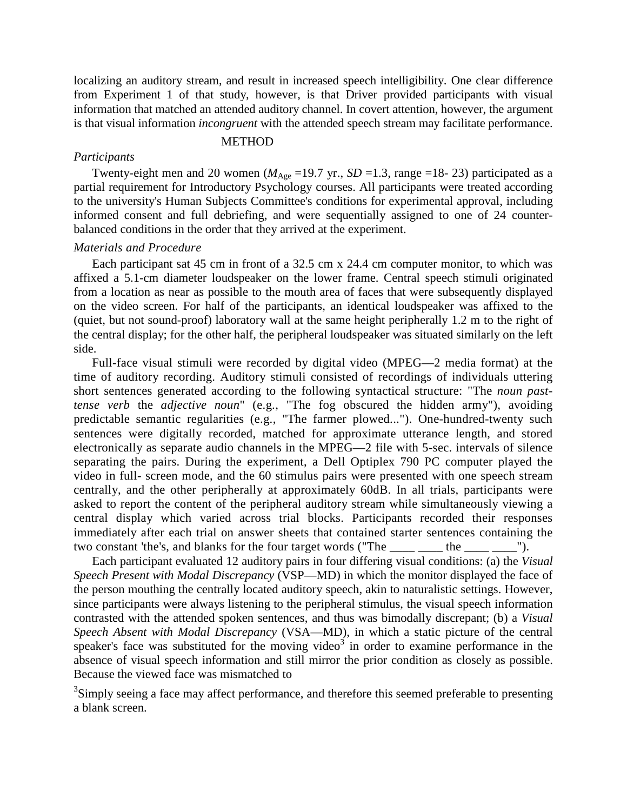localizing an auditory stream, and result in increased speech intelligibility. One clear difference from Experiment 1 of that study, however, is that Driver provided participants with visual information that matched an attended auditory channel. In covert attention, however, the argument is that visual information *incongruent* with the attended speech stream may facilitate performance.

### **METHOD**

#### *Participants*

Twenty-eight men and 20 women ( $M_{\text{Age}}$  =19.7 yr., *SD* =1.3, range =18-23) participated as a partial requirement for Introductory Psychology courses. All participants were treated according to the university's Human Subjects Committee's conditions for experimental approval, including informed consent and full debriefing, and were sequentially assigned to one of 24 counterbalanced conditions in the order that they arrived at the experiment.

## *Materials and Procedure*

Each participant sat 45 cm in front of a 32.5 cm x 24.4 cm computer monitor, to which was affixed a 5.1-cm diameter loudspeaker on the lower frame. Central speech stimuli originated from a location as near as possible to the mouth area of faces that were subsequently displayed on the video screen. For half of the participants, an identical loudspeaker was affixed to the (quiet, but not sound-proof) laboratory wall at the same height peripherally 1.2 m to the right of the central display; for the other half, the peripheral loudspeaker was situated similarly on the left side.

Full-face visual stimuli were recorded by digital video (MPEG—2 media format) at the time of auditory recording. Auditory stimuli consisted of recordings of individuals uttering short sentences generated according to the following syntactical structure: "The *noun pasttense verb* the *adjective noun*" (e.g., "The fog obscured the hidden army"), avoiding predictable semantic regularities (e.g., "The farmer plowed..."). One-hundred-twenty such sentences were digitally recorded, matched for approximate utterance length, and stored electronically as separate audio channels in the MPEG—2 file with 5-sec. intervals of silence separating the pairs. During the experiment, a Dell Optiplex 790 PC computer played the video in full- screen mode, and the 60 stimulus pairs were presented with one speech stream centrally, and the other peripherally at approximately 60dB. In all trials, participants were asked to report the content of the peripheral auditory stream while simultaneously viewing a central display which varied across trial blocks. Participants recorded their responses immediately after each trial on answer sheets that contained starter sentences containing the two constant 'the's, and blanks for the four target words ("The \_\_\_\_ \_\_\_ the \_\_\_\_ \_\_\_").

Each participant evaluated 12 auditory pairs in four differing visual conditions: (a) the *Visual Speech Present with Modal Discrepancy* (VSP—MD) in which the monitor displayed the face of the person mouthing the centrally located auditory speech, akin to naturalistic settings. However, since participants were always listening to the peripheral stimulus, the visual speech information contrasted with the attended spoken sentences, and thus was bimodally discrepant; (b) a *Visual Speech Absent with Modal Discrepancy* (VSA—MD), in which a static picture of the central speaker's face was substituted for the moving video<sup>3</sup> in order to examine performance in the absence of visual speech information and still mirror the prior condition as closely as possible. Because the viewed face was mismatched to

<sup>3</sup>Simply seeing a face may affect performance, and therefore this seemed preferable to presenting a blank screen.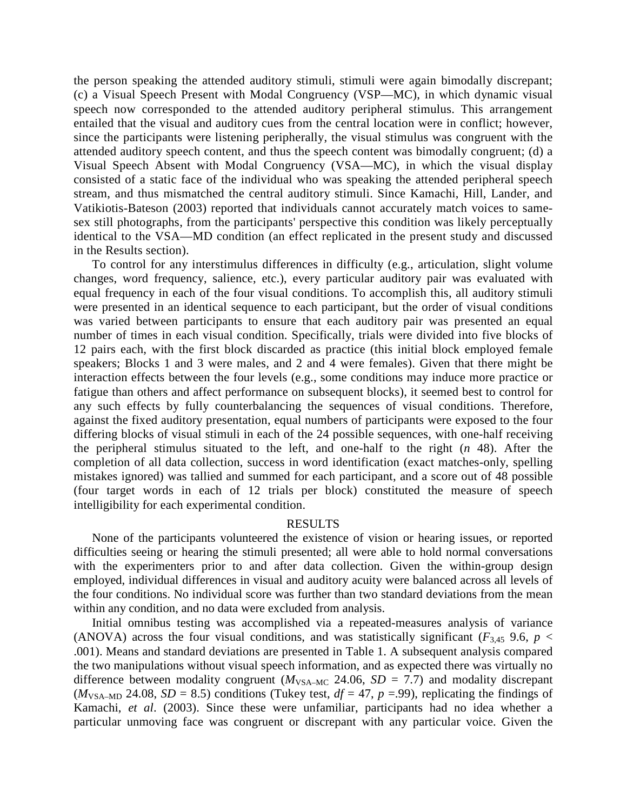the person speaking the attended auditory stimuli, stimuli were again bimodally discrepant; (c) a Visual Speech Present with Modal Congruency (VSP—MC), in which dynamic visual speech now corresponded to the attended auditory peripheral stimulus. This arrangement entailed that the visual and auditory cues from the central location were in conflict; however, since the participants were listening peripherally, the visual stimulus was congruent with the attended auditory speech content, and thus the speech content was bimodally congruent; (d) a Visual Speech Absent with Modal Congruency (VSA—MC), in which the visual display consisted of a static face of the individual who was speaking the attended peripheral speech stream, and thus mismatched the central auditory stimuli. Since Kamachi, Hill, Lander, and Vatikiotis-Bateson (2003) reported that individuals cannot accurately match voices to samesex still photographs, from the participants' perspective this condition was likely perceptually identical to the VSA—MD condition (an effect replicated in the present study and discussed in the Results section).

To control for any interstimulus differences in difficulty (e.g., articulation, slight volume changes, word frequency, salience, etc.), every particular auditory pair was evaluated with equal frequency in each of the four visual conditions. To accomplish this, all auditory stimuli were presented in an identical sequence to each participant, but the order of visual conditions was varied between participants to ensure that each auditory pair was presented an equal number of times in each visual condition. Specifically, trials were divided into five blocks of 12 pairs each, with the first block discarded as practice (this initial block employed female speakers; Blocks 1 and 3 were males, and 2 and 4 were females). Given that there might be interaction effects between the four levels (e.g., some conditions may induce more practice or fatigue than others and affect performance on subsequent blocks), it seemed best to control for any such effects by fully counterbalancing the sequences of visual conditions. Therefore, against the fixed auditory presentation, equal numbers of participants were exposed to the four differing blocks of visual stimuli in each of the 24 possible sequences, with one-half receiving the peripheral stimulus situated to the left, and one-half to the right (*n* 48). After the completion of all data collection, success in word identification (exact matches-only, spelling mistakes ignored) was tallied and summed for each participant, and a score out of 48 possible (four target words in each of 12 trials per block) constituted the measure of speech intelligibility for each experimental condition.

# RESULTS

None of the participants volunteered the existence of vision or hearing issues, or reported difficulties seeing or hearing the stimuli presented; all were able to hold normal conversations with the experimenters prior to and after data collection. Given the within-group design employed, individual differences in visual and auditory acuity were balanced across all levels of the four conditions. No individual score was further than two standard deviations from the mean within any condition, and no data were excluded from analysis.

Initial omnibus testing was accomplished via a repeated-measures analysis of variance (ANOVA) across the four visual conditions, and was statistically significant ( $F_{3,45}$  9.6,  $p <$ .001). Means and standard deviations are presented in Table 1. A subsequent analysis compared the two manipulations without visual speech information, and as expected there was virtually no difference between modality congruent ( $M_{VSA-MC}$  24.06,  $SD = 7.7$ ) and modality discrepant  $(M<sub>VSA-MD</sub> 24.08, SD = 8.5)$  conditions (Tukey test,  $df = 47$ ,  $p = .99$ ), replicating the findings of Kamachi, *et al*. (2003). Since these were unfamiliar, participants had no idea whether a particular unmoving face was congruent or discrepant with any particular voice. Given the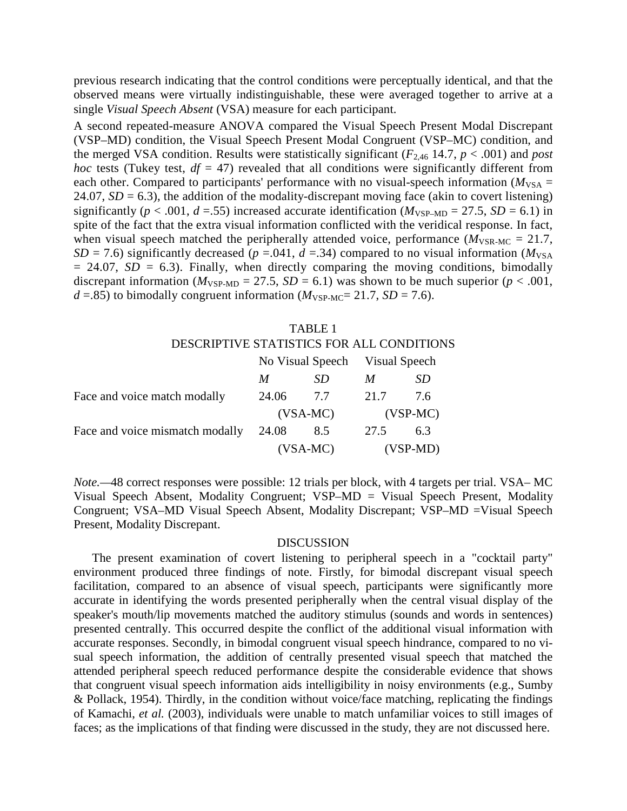previous research indicating that the control conditions were perceptually identical, and that the observed means were virtually indistinguishable, these were averaged together to arrive at a single *Visual Speech Absent* (VSA) measure for each participant.

A second repeated-measure ANOVA compared the Visual Speech Present Modal Discrepant (VSP–MD) condition, the Visual Speech Present Modal Congruent (VSP–MC) condition, and the merged VSA condition. Results were statistically significant  $(F_{2,46}$  14.7,  $p < .001$ ) and *post hoc* tests (Tukey test,  $df = 47$ ) revealed that all conditions were significantly different from each other. Compared to participants' performance with no visual-speech information ( $M_{VSA}$  = 24.07,  $SD = 6.3$ ), the addition of the modality-discrepant moving face (akin to covert listening) significantly ( $p < .001$ ,  $d = .55$ ) increased accurate identification ( $M_{VSP-MD} = 27.5$ ,  $SD = 6.1$ ) in spite of the fact that the extra visual information conflicted with the veridical response. In fact, when visual speech matched the peripherally attended voice, performance  $(M_{VSR-MC} = 21.7$ , *SD* = 7.6) significantly decreased  $(p = .041, d = .34)$  compared to no visual information ( $M_{VSA}$ )  $= 24.07$ ,  $SD = 6.3$ ). Finally, when directly comparing the moving conditions, bimodally discrepant information ( $M_{VSP-MD} = 27.5$ ,  $SD = 6.1$ ) was shown to be much superior ( $p < .001$ ,  $d = 0.85$  to bimodally congruent information ( $M_{VSP-MC} = 21.7$ ,  $SD = 7.6$ ).

|                                           | TABLE 1       |                                |   |     |  |  |
|-------------------------------------------|---------------|--------------------------------|---|-----|--|--|
| DESCRIPTIVE STATISTICS FOR ALL CONDITIONS |               |                                |   |     |  |  |
|                                           |               | No Visual Speech Visual Speech |   |     |  |  |
|                                           | $\mathcal{M}$ | - SD -                         | M | -SD |  |  |

|                                           | <sub>M</sub> | -SD | $\boldsymbol{M}$ | SD. |
|-------------------------------------------|--------------|-----|------------------|-----|
| Face and voice match modally              | 24.06 7.7    |     | 21.7             | 7.6 |
|                                           | $(VSA-MC)$   |     | $(VSP-MC)$       |     |
| Face and voice mismatch modally 24.08 8.5 |              |     | 27.5             | 6.3 |
|                                           | $(VSA-MC)$   |     | $(VSP-MD)$       |     |

*Note.—*48 correct responses were possible: 12 trials per block, with 4 targets per trial. VSA– MC Visual Speech Absent, Modality Congruent; VSP–MD = Visual Speech Present, Modality Congruent; VSA–MD Visual Speech Absent, Modality Discrepant; VSP–MD =Visual Speech Present, Modality Discrepant.

### DISCUSSION

The present examination of covert listening to peripheral speech in a "cocktail party" environment produced three findings of note. Firstly, for bimodal discrepant visual speech facilitation, compared to an absence of visual speech, participants were significantly more accurate in identifying the words presented peripherally when the central visual display of the speaker's mouth/lip movements matched the auditory stimulus (sounds and words in sentences) presented centrally. This occurred despite the conflict of the additional visual information with accurate responses. Secondly, in bimodal congruent visual speech hindrance, compared to no visual speech information, the addition of centrally presented visual speech that matched the attended peripheral speech reduced performance despite the considerable evidence that shows that congruent visual speech information aids intelligibility in noisy environments (e.g., Sumby & Pollack, 1954). Thirdly, in the condition without voice/face matching, replicating the findings of Kamachi, *et al.* (2003), individuals were unable to match unfamiliar voices to still images of faces; as the implications of that finding were discussed in the study, they are not discussed here.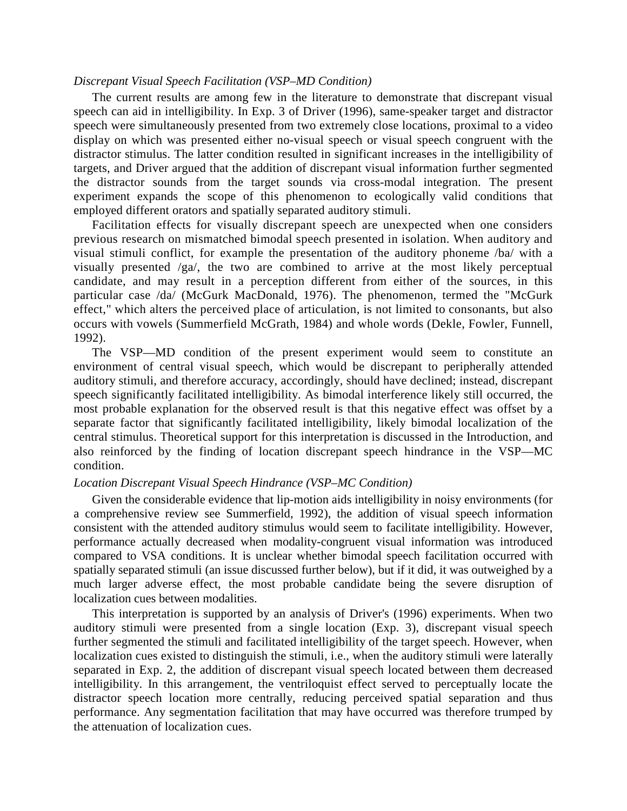#### *Discrepant Visual Speech Facilitation (VSP–MD Condition)*

The current results are among few in the literature to demonstrate that discrepant visual speech can aid in intelligibility. In Exp. 3 of Driver (1996), same-speaker target and distractor speech were simultaneously presented from two extremely close locations, proximal to a video display on which was presented either no-visual speech or visual speech congruent with the distractor stimulus. The latter condition resulted in significant increases in the intelligibility of targets, and Driver argued that the addition of discrepant visual information further segmented the distractor sounds from the target sounds via cross-modal integration. The present experiment expands the scope of this phenomenon to ecologically valid conditions that employed different orators and spatially separated auditory stimuli.

Facilitation effects for visually discrepant speech are unexpected when one considers previous research on mismatched bimodal speech presented in isolation. When auditory and visual stimuli conflict, for example the presentation of the auditory phoneme /ba/ with a visually presented /ga/, the two are combined to arrive at the most likely perceptual candidate, and may result in a perception different from either of the sources, in this particular case /da/ (McGurk MacDonald, 1976). The phenomenon, termed the "McGurk effect," which alters the perceived place of articulation, is not limited to consonants, but also occurs with vowels (Summerfield McGrath, 1984) and whole words (Dekle, Fowler, Funnell, 1992).

The VSP—MD condition of the present experiment would seem to constitute an environment of central visual speech, which would be discrepant to peripherally attended auditory stimuli, and therefore accuracy, accordingly, should have declined; instead, discrepant speech significantly facilitated intelligibility. As bimodal interference likely still occurred, the most probable explanation for the observed result is that this negative effect was offset by a separate factor that significantly facilitated intelligibility, likely bimodal localization of the central stimulus. Theoretical support for this interpretation is discussed in the Introduction, and also reinforced by the finding of location discrepant speech hindrance in the VSP—MC condition.

#### *Location Discrepant Visual Speech Hindrance (VSP–MC Condition)*

Given the considerable evidence that lip-motion aids intelligibility in noisy environments (for a comprehensive review see Summerfield, 1992), the addition of visual speech information consistent with the attended auditory stimulus would seem to facilitate intelligibility. However, performance actually decreased when modality-congruent visual information was introduced compared to VSA conditions. It is unclear whether bimodal speech facilitation occurred with spatially separated stimuli (an issue discussed further below), but if it did, it was outweighed by a much larger adverse effect, the most probable candidate being the severe disruption of localization cues between modalities.

This interpretation is supported by an analysis of Driver's (1996) experiments. When two auditory stimuli were presented from a single location (Exp. 3), discrepant visual speech further segmented the stimuli and facilitated intelligibility of the target speech. However, when localization cues existed to distinguish the stimuli, i.e., when the auditory stimuli were laterally separated in Exp. 2, the addition of discrepant visual speech located between them decreased intelligibility. In this arrangement, the ventriloquist effect served to perceptually locate the distractor speech location more centrally, reducing perceived spatial separation and thus performance. Any segmentation facilitation that may have occurred was therefore trumped by the attenuation of localization cues.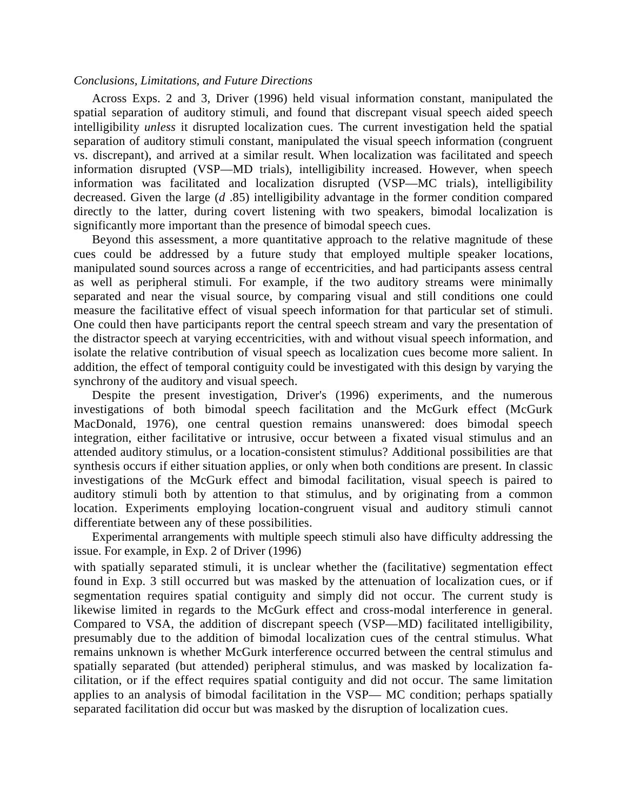### *Conclusions, Limitations, and Future Directions*

Across Exps. 2 and 3, Driver (1996) held visual information constant, manipulated the spatial separation of auditory stimuli, and found that discrepant visual speech aided speech intelligibility *unless* it disrupted localization cues. The current investigation held the spatial separation of auditory stimuli constant, manipulated the visual speech information (congruent vs. discrepant), and arrived at a similar result. When localization was facilitated and speech information disrupted (VSP—MD trials), intelligibility increased. However, when speech information was facilitated and localization disrupted (VSP—MC trials), intelligibility decreased. Given the large (*d* .85) intelligibility advantage in the former condition compared directly to the latter, during covert listening with two speakers, bimodal localization is significantly more important than the presence of bimodal speech cues.

Beyond this assessment, a more quantitative approach to the relative magnitude of these cues could be addressed by a future study that employed multiple speaker locations, manipulated sound sources across a range of eccentricities, and had participants assess central as well as peripheral stimuli. For example, if the two auditory streams were minimally separated and near the visual source, by comparing visual and still conditions one could measure the facilitative effect of visual speech information for that particular set of stimuli. One could then have participants report the central speech stream and vary the presentation of the distractor speech at varying eccentricities, with and without visual speech information, and isolate the relative contribution of visual speech as localization cues become more salient. In addition, the effect of temporal contiguity could be investigated with this design by varying the synchrony of the auditory and visual speech.

Despite the present investigation, Driver's (1996) experiments, and the numerous investigations of both bimodal speech facilitation and the McGurk effect (McGurk MacDonald, 1976), one central question remains unanswered: does bimodal speech integration, either facilitative or intrusive, occur between a fixated visual stimulus and an attended auditory stimulus, or a location-consistent stimulus? Additional possibilities are that synthesis occurs if either situation applies, or only when both conditions are present. In classic investigations of the McGurk effect and bimodal facilitation, visual speech is paired to auditory stimuli both by attention to that stimulus, and by originating from a common location. Experiments employing location-congruent visual and auditory stimuli cannot differentiate between any of these possibilities.

Experimental arrangements with multiple speech stimuli also have difficulty addressing the issue. For example, in Exp. 2 of Driver (1996)

with spatially separated stimuli, it is unclear whether the (facilitative) segmentation effect found in Exp. 3 still occurred but was masked by the attenuation of localization cues, or if segmentation requires spatial contiguity and simply did not occur. The current study is likewise limited in regards to the McGurk effect and cross-modal interference in general. Compared to VSA, the addition of discrepant speech (VSP—MD) facilitated intelligibility, presumably due to the addition of bimodal localization cues of the central stimulus. What remains unknown is whether McGurk interference occurred between the central stimulus and spatially separated (but attended) peripheral stimulus, and was masked by localization facilitation, or if the effect requires spatial contiguity and did not occur. The same limitation applies to an analysis of bimodal facilitation in the VSP— MC condition; perhaps spatially separated facilitation did occur but was masked by the disruption of localization cues.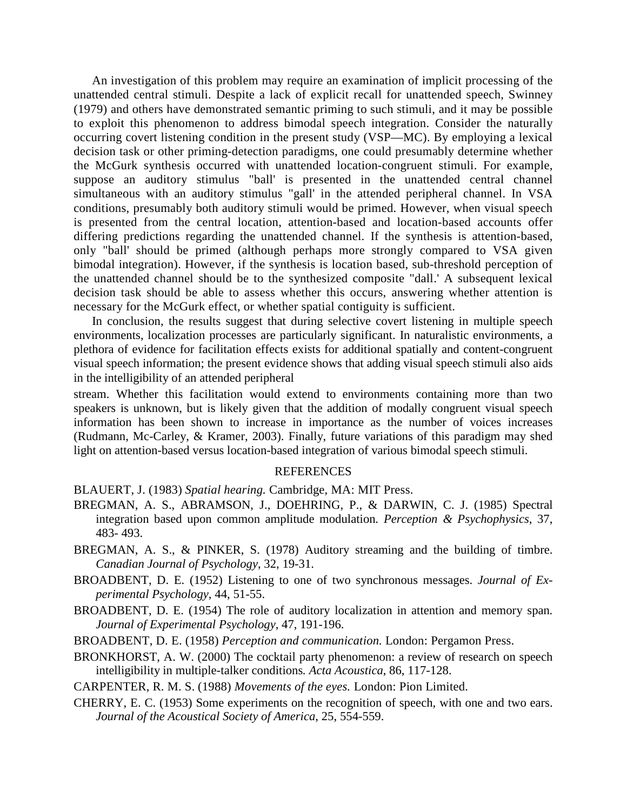An investigation of this problem may require an examination of implicit processing of the unattended central stimuli. Despite a lack of explicit recall for unattended speech, Swinney (1979) and others have demonstrated semantic priming to such stimuli, and it may be possible to exploit this phenomenon to address bimodal speech integration. Consider the naturally occurring covert listening condition in the present study (VSP—MC). By employing a lexical decision task or other priming-detection paradigms, one could presumably determine whether the McGurk synthesis occurred with unattended location-congruent stimuli. For example, suppose an auditory stimulus "ball' is presented in the unattended central channel simultaneous with an auditory stimulus "gall' in the attended peripheral channel. In VSA conditions, presumably both auditory stimuli would be primed. However, when visual speech is presented from the central location, attention-based and location-based accounts offer differing predictions regarding the unattended channel. If the synthesis is attention-based, only "ball' should be primed (although perhaps more strongly compared to VSA given bimodal integration). However, if the synthesis is location based, sub-threshold perception of the unattended channel should be to the synthesized composite "dall.' A subsequent lexical decision task should be able to assess whether this occurs, answering whether attention is necessary for the McGurk effect, or whether spatial contiguity is sufficient.

In conclusion, the results suggest that during selective covert listening in multiple speech environments, localization processes are particularly significant. In naturalistic environments, a plethora of evidence for facilitation effects exists for additional spatially and content-congruent visual speech information; the present evidence shows that adding visual speech stimuli also aids in the intelligibility of an attended peripheral

stream. Whether this facilitation would extend to environments containing more than two speakers is unknown, but is likely given that the addition of modally congruent visual speech information has been shown to increase in importance as the number of voices increases (Rudmann, Mc-Carley, & Kramer, 2003). Finally, future variations of this paradigm may shed light on attention-based versus location-based integration of various bimodal speech stimuli.

## **REFERENCES**

BLAUERT, J. (1983) *Spatial hearing.* Cambridge, MA: MIT Press.

- BREGMAN, A. S., ABRAMSON, J., DOEHRING, P., & DARWIN, C. J. (1985) Spectral integration based upon common amplitude modulation*. Perception & Psychophysics*, 37, 483- 493.
- BREGMAN, A. S., & PINKER, S. (1978) Auditory streaming and the building of timbre. *Canadian Journal of Psychology*, 32, 19-31.
- BROADBENT, D. E. (1952) Listening to one of two synchronous messages. *Journal of Experimental Psychology*, 44, 51-55.
- BROADBENT, D. E. (1954) The role of auditory localization in attention and memory span*. Journal of Experimental Psychology*, 47, 191-196.
- BROADBENT, D. E. (1958) *Perception and communication.* London: Pergamon Press.
- BRONKHORST, A. W. (2000) The cocktail party phenomenon: a review of research on speech intelligibility in multiple-talker conditions*. Acta Acoustica*, 86, 117-128.
- CARPENTER, R. M. S. (1988) *Movements of the eyes.* London: Pion Limited.
- CHERRY, E. C. (1953) Some experiments on the recognition of speech, with one and two ears. *Journal of the Acoustical Society of America*, 25, 554-559.